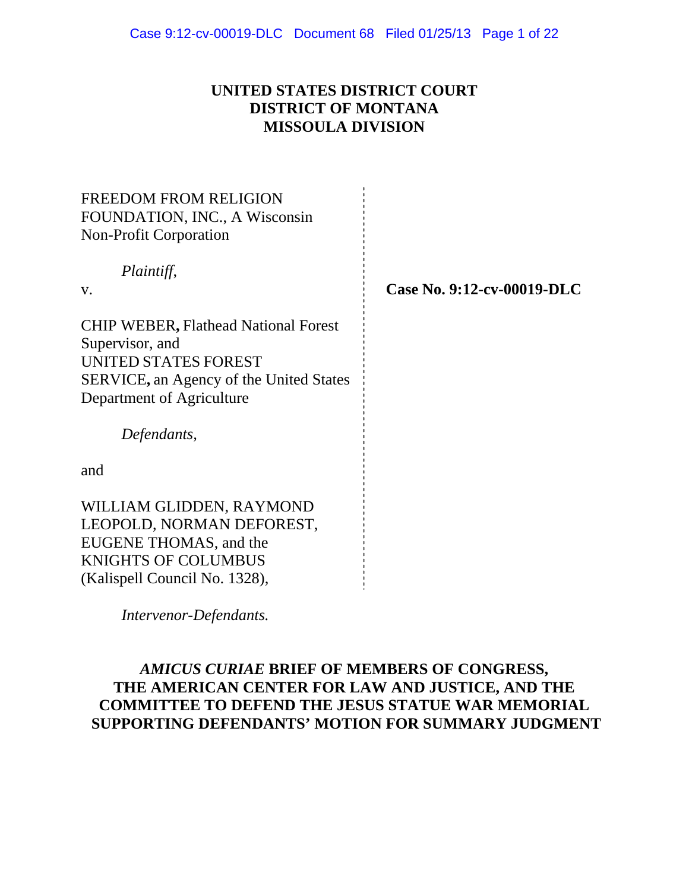## **UNITED STATES DISTRICT COURT DISTRICT OF MONTANA MISSOULA DIVISION**

| <b>FREEDOM FROM RELIGION</b><br>FOUNDATION, INC., A Wisconsin<br><b>Non-Profit Corporation</b> |                            |
|------------------------------------------------------------------------------------------------|----------------------------|
| Plaintiff,<br>V.                                                                               | Case No. 9:12-cv-00019-DLC |
|                                                                                                |                            |
| <b>CHIP WEBER, Flathead National Forest</b><br>Supervisor, and                                 |                            |
| <b>UNITED STATES FOREST</b>                                                                    |                            |
| SERVICE, an Agency of the United States                                                        |                            |
| Department of Agriculture                                                                      |                            |
| Defendants,                                                                                    |                            |
| and                                                                                            |                            |
| WILLIAM GLIDDEN, RAYMOND                                                                       |                            |
| LEOPOLD, NORMAN DEFOREST,                                                                      |                            |
| EUGENE THOMAS, and the                                                                         |                            |
| <b>KNIGHTS OF COLUMBUS</b>                                                                     |                            |
| (Kalispell Council No. 1328),                                                                  |                            |

 *Intervenor-Defendants.* 

### *AMICUS CURIAE* **BRIEF OF MEMBERS OF CONGRESS, THE AMERICAN CENTER FOR LAW AND JUSTICE, AND THE COMMITTEE TO DEFEND THE JESUS STATUE WAR MEMORIAL SUPPORTING DEFENDANTS' MOTION FOR SUMMARY JUDGMENT**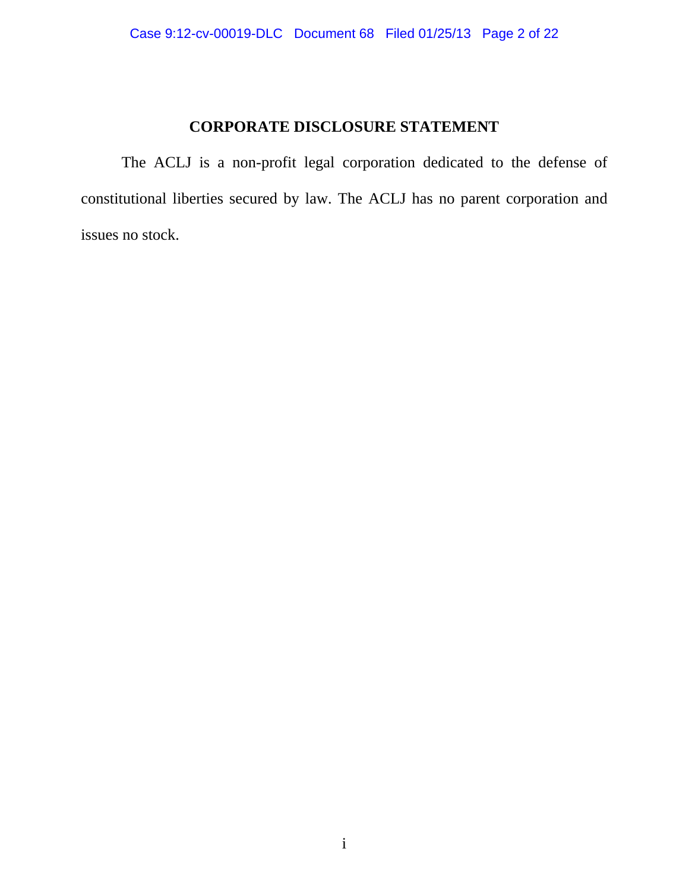# **CORPORATE DISCLOSURE STATEMENT**

 The ACLJ is a non-profit legal corporation dedicated to the defense of constitutional liberties secured by law. The ACLJ has no parent corporation and issues no stock.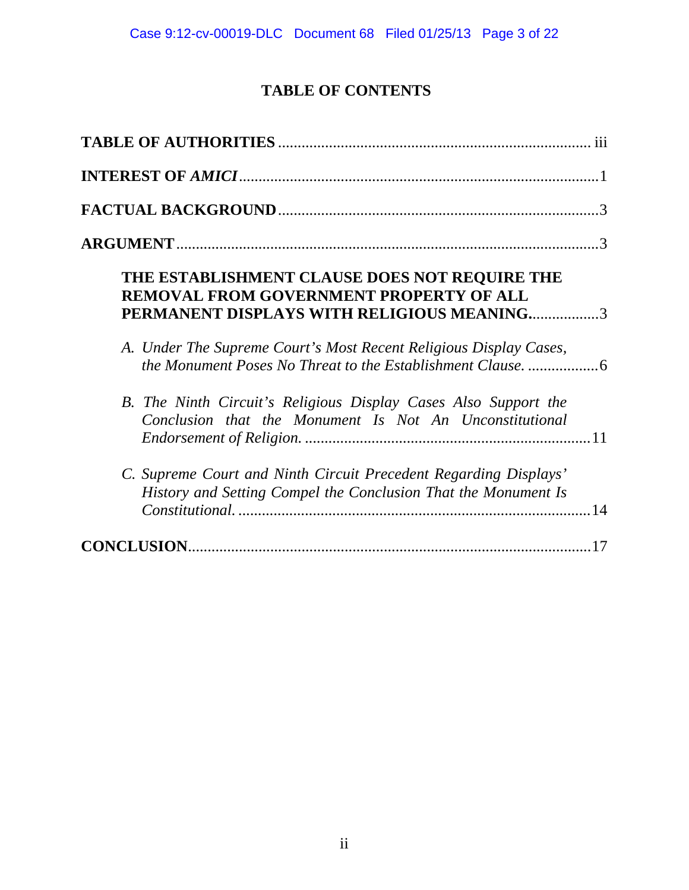# **TABLE OF CONTENTS**

| THE ESTABLISHMENT CLAUSE DOES NOT REQUIRE THE<br>REMOVAL FROM GOVERNMENT PROPERTY OF ALL<br>PERMANENT DISPLAYS WITH RELIGIOUS MEANING3 |     |
|----------------------------------------------------------------------------------------------------------------------------------------|-----|
| A. Under The Supreme Court's Most Recent Religious Display Cases,                                                                      |     |
| B. The Ninth Circuit's Religious Display Cases Also Support the<br>Conclusion that the Monument Is Not An Unconstitutional             |     |
| C. Supreme Court and Ninth Circuit Precedent Regarding Displays'<br>History and Setting Compel the Conclusion That the Monument Is     |     |
|                                                                                                                                        | .17 |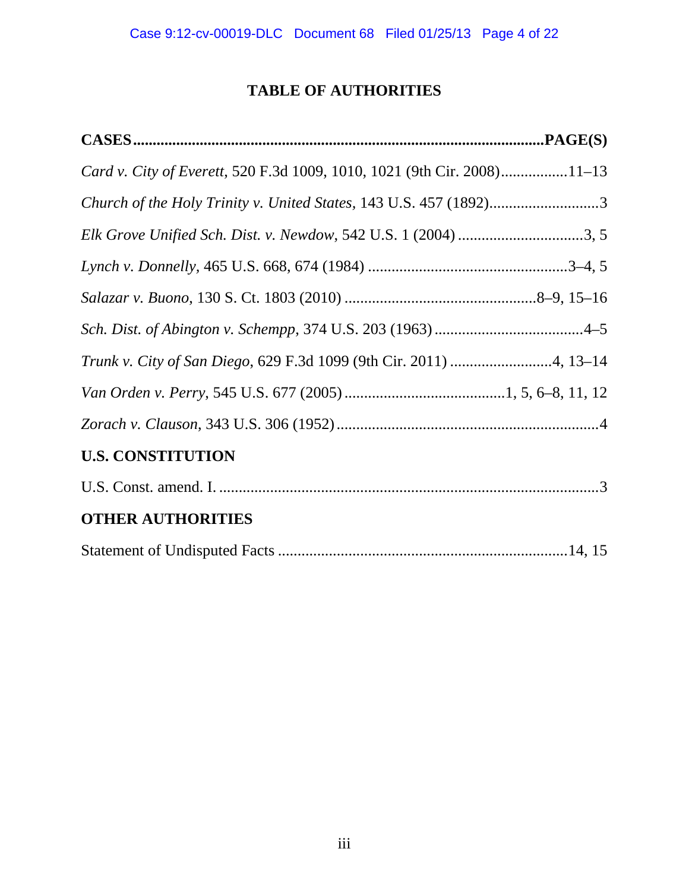# **TABLE OF AUTHORITIES**

| Card v. City of Everett, 520 F.3d 1009, 1010, 1021 (9th Cir. 2008)11–13 |
|-------------------------------------------------------------------------|
|                                                                         |
| Elk Grove Unified Sch. Dist. v. Newdow, 542 U.S. 1 (2004) 3, 5          |
|                                                                         |
|                                                                         |
|                                                                         |
|                                                                         |
|                                                                         |
|                                                                         |
| <b>U.S. CONSTITUTION</b>                                                |
|                                                                         |
| <b>OTHER AUTHORITIES</b>                                                |
|                                                                         |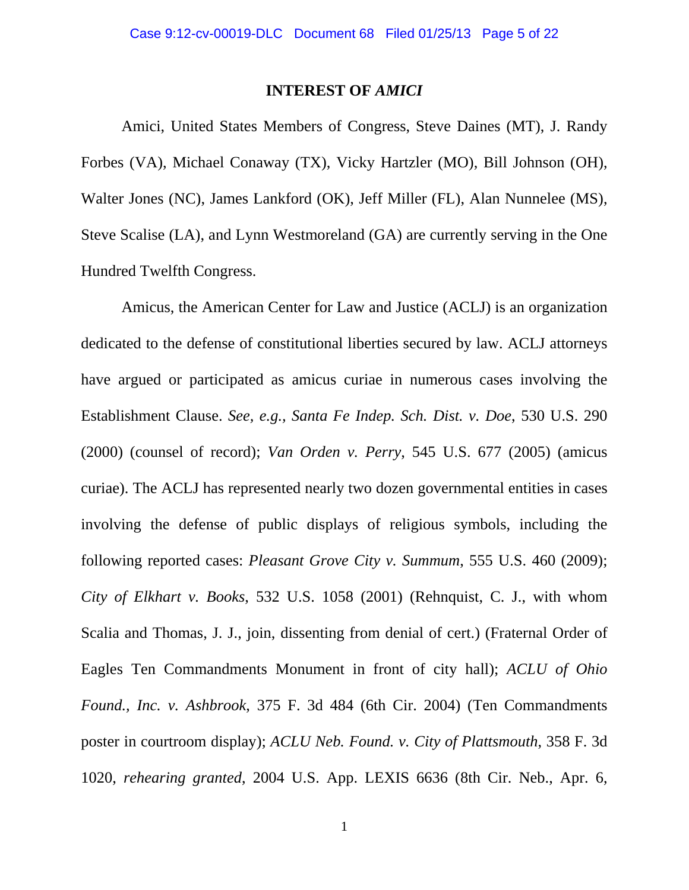### **INTEREST OF** *AMICI*

Amici, United States Members of Congress, Steve Daines (MT), J. Randy Forbes (VA), Michael Conaway (TX), Vicky Hartzler (MO), Bill Johnson (OH), Walter Jones (NC), James Lankford (OK), Jeff Miller (FL), Alan Nunnelee (MS), Steve Scalise (LA), and Lynn Westmoreland (GA) are currently serving in the One Hundred Twelfth Congress.

Amicus, the American Center for Law and Justice (ACLJ) is an organization dedicated to the defense of constitutional liberties secured by law. ACLJ attorneys have argued or participated as amicus curiae in numerous cases involving the Establishment Clause. *See, e.g., Santa Fe Indep. Sch. Dist. v. Doe*, 530 U.S. 290 (2000) (counsel of record); *Van Orden v. Perry*, 545 U.S. 677 (2005) (amicus curiae). The ACLJ has represented nearly two dozen governmental entities in cases involving the defense of public displays of religious symbols, including the following reported cases: *Pleasant Grove City v. Summum*, 555 U.S. 460 (2009); *City of Elkhart v. Books*, 532 U.S. 1058 (2001) (Rehnquist, C. J., with whom Scalia and Thomas, J. J., join, dissenting from denial of cert.) (Fraternal Order of Eagles Ten Commandments Monument in front of city hall); *ACLU of Ohio Found., Inc. v. Ashbrook*, 375 F. 3d 484 (6th Cir. 2004) (Ten Commandments poster in courtroom display); *ACLU Neb. Found. v. City of Plattsmouth*, 358 F. 3d 1020, *rehearing granted*, 2004 U.S. App. LEXIS 6636 (8th Cir. Neb., Apr. 6,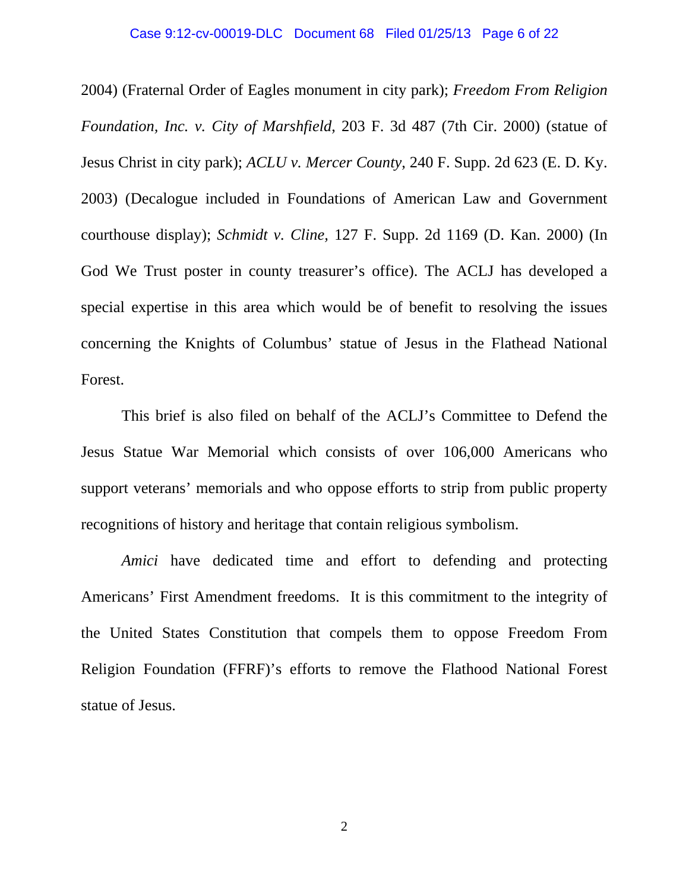#### Case 9:12-cv-00019-DLC Document 68 Filed 01/25/13 Page 6 of 22

2004) (Fraternal Order of Eagles monument in city park); *Freedom From Religion Foundation, Inc. v. City of Marshfield*, 203 F. 3d 487 (7th Cir. 2000) (statue of Jesus Christ in city park); *ACLU v. Mercer County*, 240 F. Supp. 2d 623 (E. D. Ky. 2003) (Decalogue included in Foundations of American Law and Government courthouse display); *Schmidt v. Cline,* 127 F. Supp. 2d 1169 (D. Kan. 2000) (In God We Trust poster in county treasurer's office). The ACLJ has developed a special expertise in this area which would be of benefit to resolving the issues concerning the Knights of Columbus' statue of Jesus in the Flathead National Forest.

This brief is also filed on behalf of the ACLJ's Committee to Defend the Jesus Statue War Memorial which consists of over 106,000 Americans who support veterans' memorials and who oppose efforts to strip from public property recognitions of history and heritage that contain religious symbolism.

*Amici* have dedicated time and effort to defending and protecting Americans' First Amendment freedoms. It is this commitment to the integrity of the United States Constitution that compels them to oppose Freedom From Religion Foundation (FFRF)'s efforts to remove the Flathood National Forest statue of Jesus.

2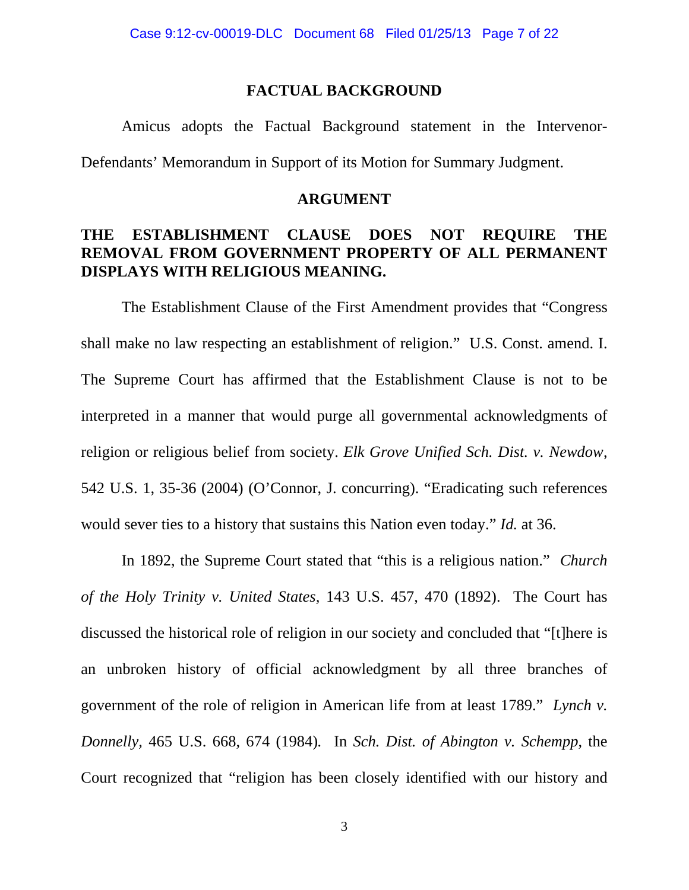### **FACTUAL BACKGROUND**

 Amicus adopts the Factual Background statement in the Intervenor-Defendants' Memorandum in Support of its Motion for Summary Judgment.

### **ARGUMENT**

### **THE ESTABLISHMENT CLAUSE DOES NOT REQUIRE THE REMOVAL FROM GOVERNMENT PROPERTY OF ALL PERMANENT DISPLAYS WITH RELIGIOUS MEANING.**

The Establishment Clause of the First Amendment provides that "Congress shall make no law respecting an establishment of religion." U.S. Const. amend. I. The Supreme Court has affirmed that the Establishment Clause is not to be interpreted in a manner that would purge all governmental acknowledgments of religion or religious belief from society. *Elk Grove Unified Sch. Dist. v. Newdow*, 542 U.S. 1, 35-36 (2004) (O'Connor, J. concurring). "Eradicating such references would sever ties to a history that sustains this Nation even today." *Id.* at 36.

In 1892, the Supreme Court stated that "this is a religious nation." *Church of the Holy Trinity v. United States,* 143 U.S. 457, 470 (1892). The Court has discussed the historical role of religion in our society and concluded that "[t]here is an unbroken history of official acknowledgment by all three branches of government of the role of religion in American life from at least 1789." *Lynch v. Donnelly,* 465 U.S. 668, 674 (1984)*.* In *Sch. Dist. of Abington v. Schempp*, the Court recognized that "religion has been closely identified with our history and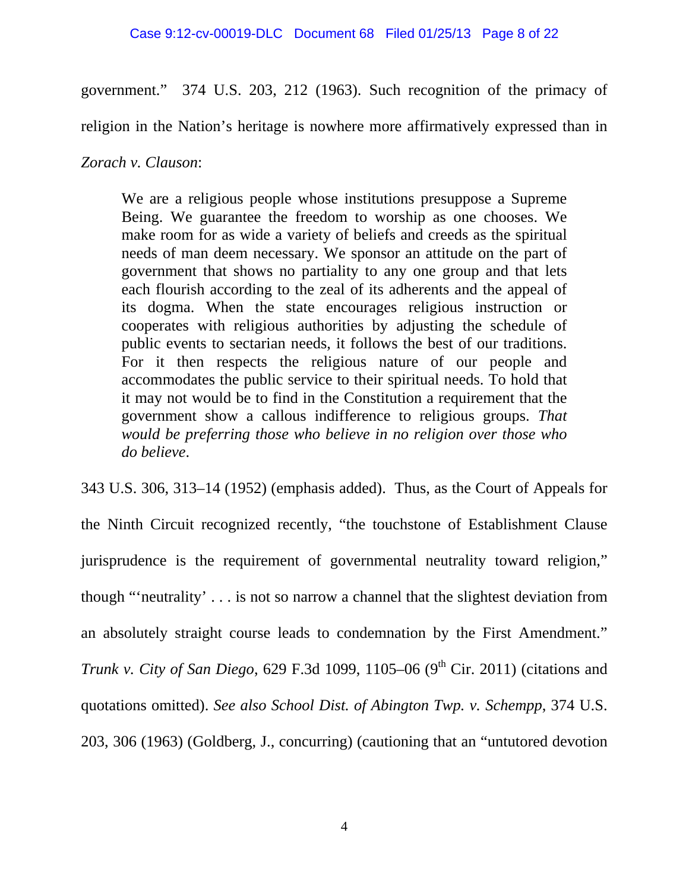### Case 9:12-cv-00019-DLC Document 68 Filed 01/25/13 Page 8 of 22

government." 374 U.S. 203, 212 (1963). Such recognition of the primacy of

religion in the Nation's heritage is nowhere more affirmatively expressed than in

### *Zorach v. Clauson*:

We are a religious people whose institutions presuppose a Supreme Being. We guarantee the freedom to worship as one chooses. We make room for as wide a variety of beliefs and creeds as the spiritual needs of man deem necessary. We sponsor an attitude on the part of government that shows no partiality to any one group and that lets each flourish according to the zeal of its adherents and the appeal of its dogma. When the state encourages religious instruction or cooperates with religious authorities by adjusting the schedule of public events to sectarian needs, it follows the best of our traditions. For it then respects the religious nature of our people and accommodates the public service to their spiritual needs. To hold that it may not would be to find in the Constitution a requirement that the government show a callous indifference to religious groups. *That would be preferring those who believe in no religion over those who do believe*.

343 U.S. 306, 313–14 (1952) (emphasis added). Thus, as the Court of Appeals for the Ninth Circuit recognized recently, "the touchstone of Establishment Clause jurisprudence is the requirement of governmental neutrality toward religion," though "'neutrality' . . . is not so narrow a channel that the slightest deviation from an absolutely straight course leads to condemnation by the First Amendment." *Trunk v. City of San Diego*, 629 F.3d 1099, 1105–06 (9<sup>th</sup> Cir. 2011) (citations and quotations omitted). *See also School Dist. of Abington Twp. v. Schempp*, 374 U.S. 203, 306 (1963) (Goldberg, J., concurring) (cautioning that an "untutored devotion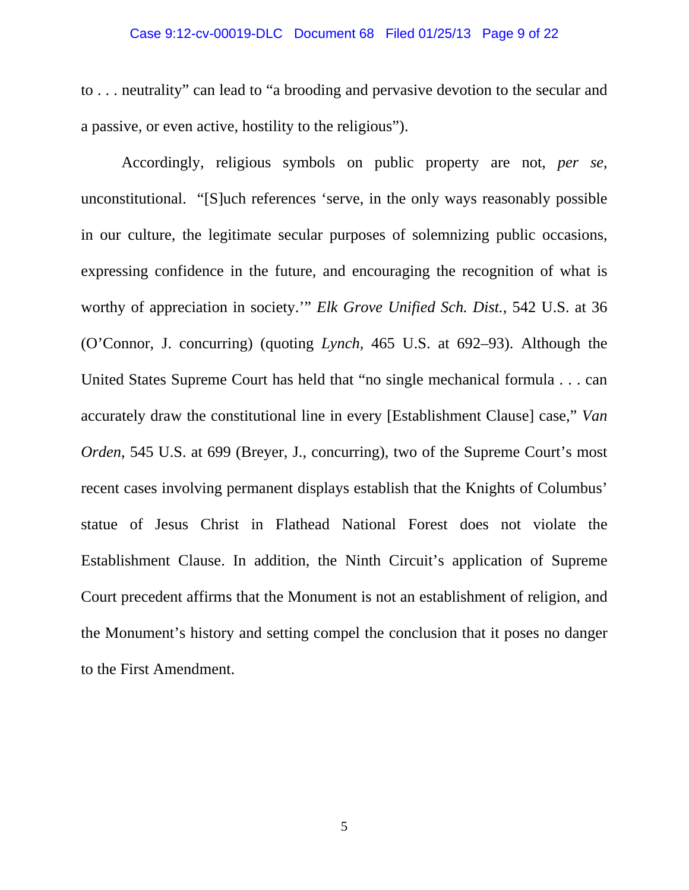#### Case 9:12-cv-00019-DLC Document 68 Filed 01/25/13 Page 9 of 22

to . . . neutrality" can lead to "a brooding and pervasive devotion to the secular and a passive, or even active, hostility to the religious").

 Accordingly, religious symbols on public property are not, *per se*, unconstitutional. "[S]uch references 'serve, in the only ways reasonably possible in our culture, the legitimate secular purposes of solemnizing public occasions, expressing confidence in the future, and encouraging the recognition of what is worthy of appreciation in society.'" *Elk Grove Unified Sch. Dist.*, 542 U.S. at 36 (O'Connor, J. concurring) (quoting *Lynch,* 465 U.S. at 692–93). Although the United States Supreme Court has held that "no single mechanical formula . . . can accurately draw the constitutional line in every [Establishment Clause] case," *Van Orden*, 545 U.S. at 699 (Breyer, J., concurring), two of the Supreme Court's most recent cases involving permanent displays establish that the Knights of Columbus' statue of Jesus Christ in Flathead National Forest does not violate the Establishment Clause. In addition, the Ninth Circuit's application of Supreme Court precedent affirms that the Monument is not an establishment of religion, and the Monument's history and setting compel the conclusion that it poses no danger to the First Amendment.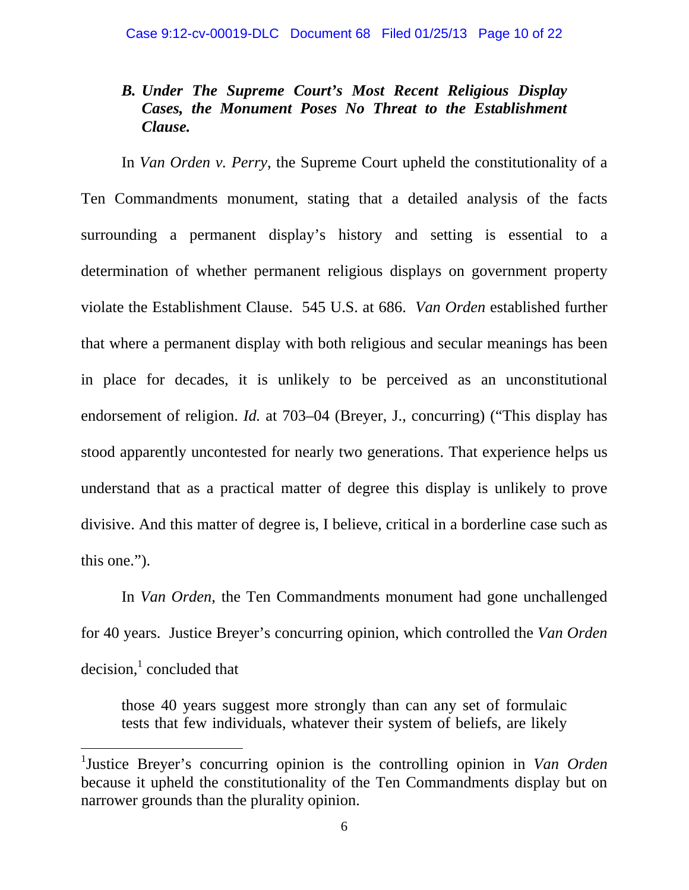## *B. Under The Supreme Court's Most Recent Religious Display Cases, the Monument Poses No Threat to the Establishment Clause.*

 In *Van Orden v. Perry*, the Supreme Court upheld the constitutionality of a Ten Commandments monument, stating that a detailed analysis of the facts surrounding a permanent display's history and setting is essential to a determination of whether permanent religious displays on government property violate the Establishment Clause. 545 U.S. at 686. *Van Orden* established further that where a permanent display with both religious and secular meanings has been in place for decades, it is unlikely to be perceived as an unconstitutional endorsement of religion. *Id.* at 703–04 (Breyer, J., concurring) ("This display has stood apparently uncontested for nearly two generations. That experience helps us understand that as a practical matter of degree this display is unlikely to prove divisive. And this matter of degree is, I believe, critical in a borderline case such as this one.").

 In *Van Orden*, the Ten Commandments monument had gone unchallenged for 40 years. Justice Breyer's concurring opinion, which controlled the *Van Orden*  $decision, 1$  concluded that

 those 40 years suggest more strongly than can any set of formulaic tests that few individuals, whatever their system of beliefs, are likely

 $\overline{a}$ 

<sup>1</sup> Justice Breyer's concurring opinion is the controlling opinion in *Van Orden* because it upheld the constitutionality of the Ten Commandments display but on narrower grounds than the plurality opinion.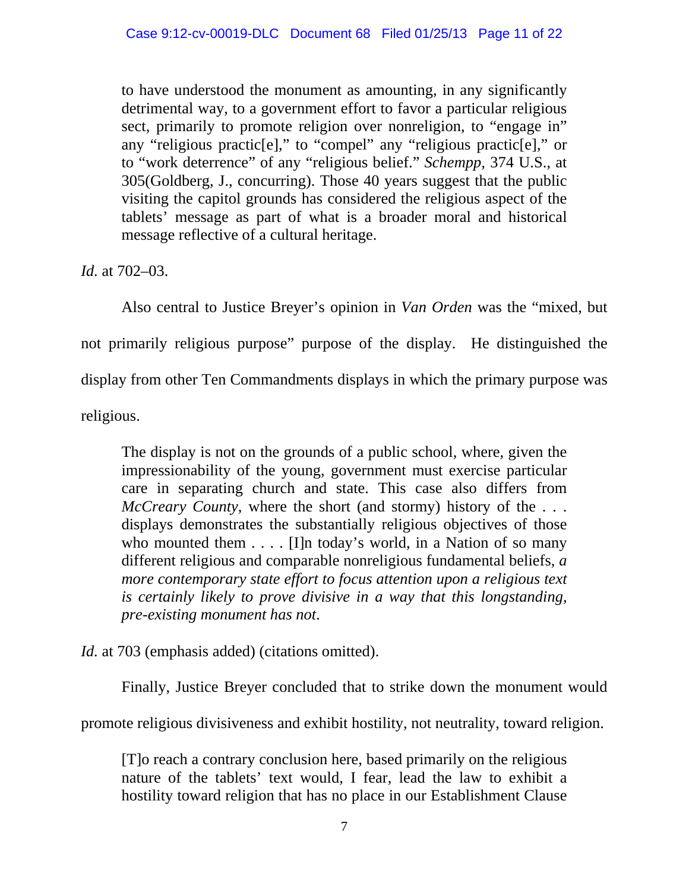to have understood the monument as amounting, in any significantly detrimental way, to a government effort to favor a particular religious sect, primarily to promote religion over nonreligion, to "engage in" any "religious practic[e]," to "compel" any "religious practic[e]," or to "work deterrence" of any "religious belief." *Schempp,* 374 U.S., at 305(Goldberg, J., concurring). Those 40 years suggest that the public visiting the capitol grounds has considered the religious aspect of the tablets' message as part of what is a broader moral and historical message reflective of a cultural heritage.

*Id.* at 702–03.

 Also central to Justice Breyer's opinion in *Van Orden* was the "mixed, but not primarily religious purpose" purpose of the display. He distinguished the display from other Ten Commandments displays in which the primary purpose was religious.

The display is not on the grounds of a public school, where, given the impressionability of the young, government must exercise particular care in separating church and state. This case also differs from *McCreary County*, where the short (and stormy) history of the . . . displays demonstrates the substantially religious objectives of those who mounted them  $\dots$ . [I]n today's world, in a Nation of so many different religious and comparable nonreligious fundamental beliefs, *a more contemporary state effort to focus attention upon a religious text is certainly likely to prove divisive in a way that this longstanding, pre-existing monument has not*.

*Id.* at 703 (emphasis added) (citations omitted).

Finally, Justice Breyer concluded that to strike down the monument would

promote religious divisiveness and exhibit hostility, not neutrality, toward religion.

[T]o reach a contrary conclusion here, based primarily on the religious nature of the tablets' text would, I fear, lead the law to exhibit a hostility toward religion that has no place in our Establishment Clause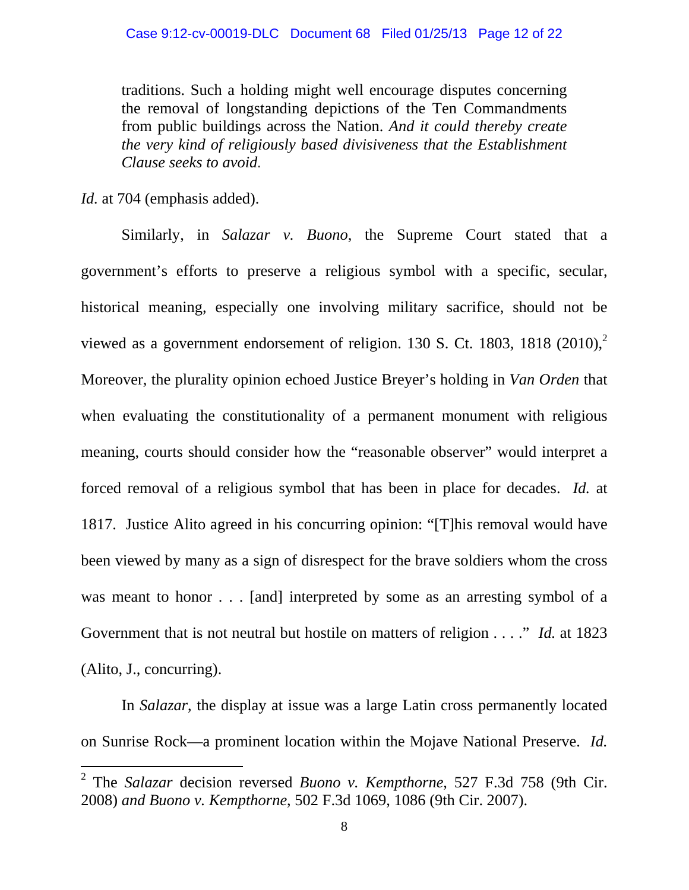traditions. Such a holding might well encourage disputes concerning the removal of longstanding depictions of the Ten Commandments from public buildings across the Nation. *And it could thereby create the very kind of religiously based divisiveness that the Establishment Clause seeks to avoid.* 

*Id.* at 704 (emphasis added).

 $\overline{a}$ 

Similarly, in *Salazar v. Buono*, the Supreme Court stated that a government's efforts to preserve a religious symbol with a specific, secular, historical meaning, especially one involving military sacrifice, should not be viewed as a government endorsement of religion. 130 S. Ct. 1803, 1818 (2010),<sup>2</sup> Moreover, the plurality opinion echoed Justice Breyer's holding in *Van Orden* that when evaluating the constitutionality of a permanent monument with religious meaning, courts should consider how the "reasonable observer" would interpret a forced removal of a religious symbol that has been in place for decades. *Id.* at 1817. Justice Alito agreed in his concurring opinion: "[T]his removal would have been viewed by many as a sign of disrespect for the brave soldiers whom the cross was meant to honor . . . [and] interpreted by some as an arresting symbol of a Government that is not neutral but hostile on matters of religion . . . ." *Id.* at 1823 (Alito, J., concurring).

In *Salazar*, the display at issue was a large Latin cross permanently located on Sunrise Rock—a prominent location within the Mojave National Preserve. *Id.* 

<sup>2</sup> The *Salazar* decision reversed *Buono v. Kempthorne*, 527 F.3d 758 (9th Cir. 2008) *and Buono v. Kempthorne*, 502 F.3d 1069, 1086 (9th Cir. 2007).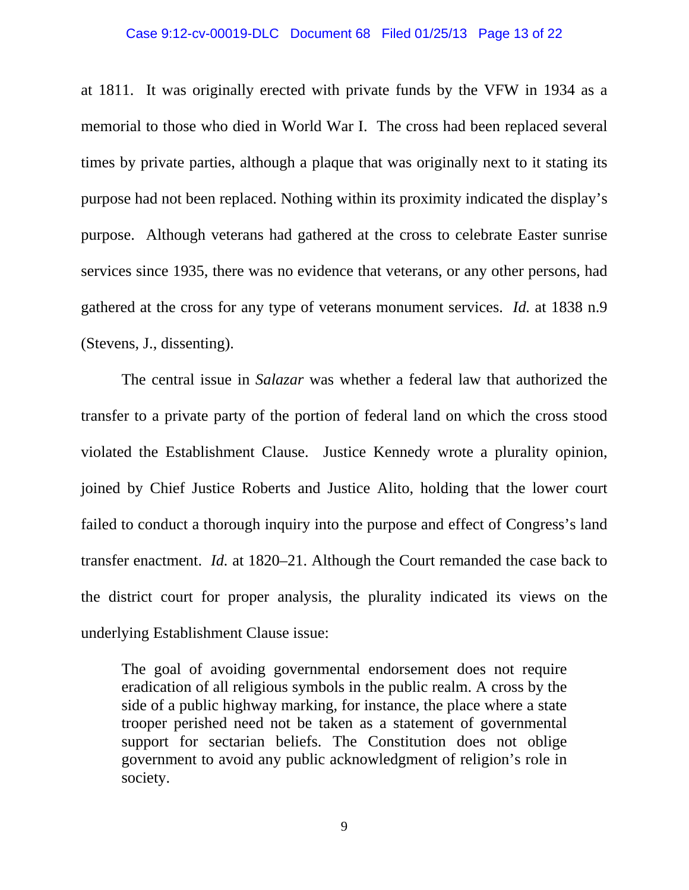#### Case 9:12-cv-00019-DLC Document 68 Filed 01/25/13 Page 13 of 22

at 1811. It was originally erected with private funds by the VFW in 1934 as a memorial to those who died in World War I. The cross had been replaced several times by private parties, although a plaque that was originally next to it stating its purpose had not been replaced. Nothing within its proximity indicated the display's purpose. Although veterans had gathered at the cross to celebrate Easter sunrise services since 1935, there was no evidence that veterans, or any other persons, had gathered at the cross for any type of veterans monument services. *Id.* at 1838 n.9 (Stevens, J., dissenting).

The central issue in *Salazar* was whether a federal law that authorized the transfer to a private party of the portion of federal land on which the cross stood violated the Establishment Clause. Justice Kennedy wrote a plurality opinion, joined by Chief Justice Roberts and Justice Alito, holding that the lower court failed to conduct a thorough inquiry into the purpose and effect of Congress's land transfer enactment. *Id.* at 1820–21. Although the Court remanded the case back to the district court for proper analysis, the plurality indicated its views on the underlying Establishment Clause issue:

The goal of avoiding governmental endorsement does not require eradication of all religious symbols in the public realm. A cross by the side of a public highway marking, for instance, the place where a state trooper perished need not be taken as a statement of governmental support for sectarian beliefs. The Constitution does not oblige government to avoid any public acknowledgment of religion's role in society.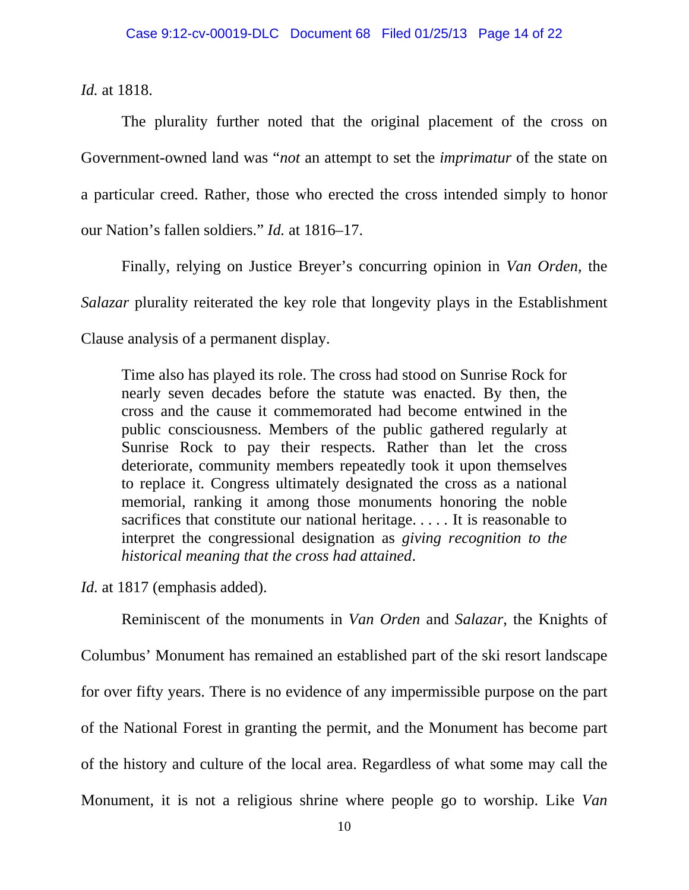*Id.* at 1818.

The plurality further noted that the original placement of the cross on Government-owned land was "*not* an attempt to set the *imprimatur* of the state on a particular creed. Rather, those who erected the cross intended simply to honor our Nation's fallen soldiers." *Id.* at 1816–17.

Finally, relying on Justice Breyer's concurring opinion in *Van Orden*, the *Salazar* plurality reiterated the key role that longevity plays in the Establishment Clause analysis of a permanent display.

Time also has played its role. The cross had stood on Sunrise Rock for nearly seven decades before the statute was enacted. By then, the cross and the cause it commemorated had become entwined in the public consciousness. Members of the public gathered regularly at Sunrise Rock to pay their respects. Rather than let the cross deteriorate, community members repeatedly took it upon themselves to replace it. Congress ultimately designated the cross as a national memorial, ranking it among those monuments honoring the noble sacrifices that constitute our national heritage. . . . . It is reasonable to interpret the congressional designation as *giving recognition to the historical meaning that the cross had attained*.

*Id.* at 1817 (emphasis added).

 Reminiscent of the monuments in *Van Orden* and *Salazar*, the Knights of Columbus' Monument has remained an established part of the ski resort landscape for over fifty years. There is no evidence of any impermissible purpose on the part of the National Forest in granting the permit, and the Monument has become part of the history and culture of the local area. Regardless of what some may call the Monument, it is not a religious shrine where people go to worship. Like *Van*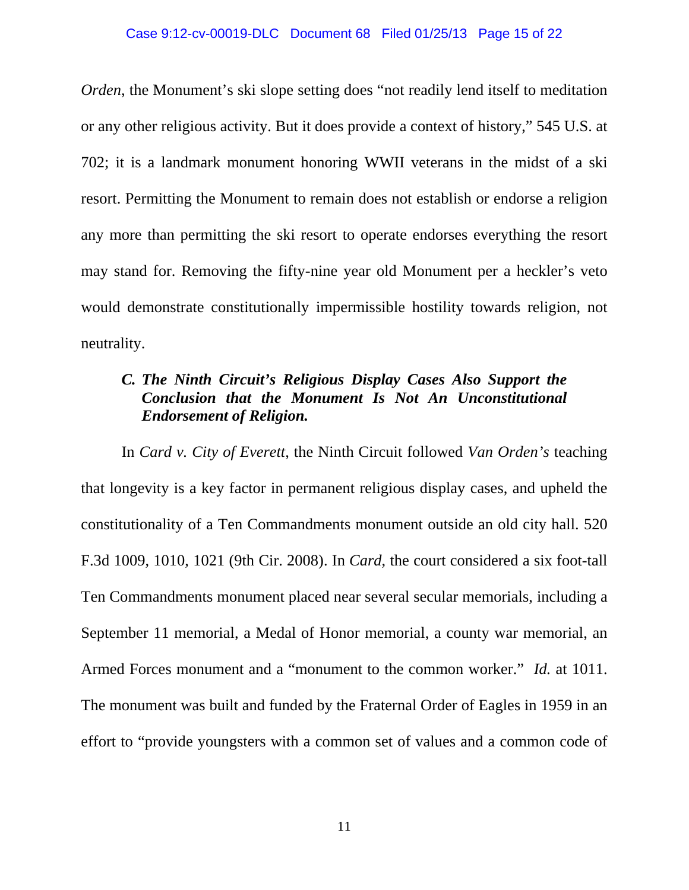#### Case 9:12-cv-00019-DLC Document 68 Filed 01/25/13 Page 15 of 22

*Orden*, the Monument's ski slope setting does "not readily lend itself to meditation or any other religious activity. But it does provide a context of history," 545 U.S. at 702; it is a landmark monument honoring WWII veterans in the midst of a ski resort. Permitting the Monument to remain does not establish or endorse a religion any more than permitting the ski resort to operate endorses everything the resort may stand for. Removing the fifty-nine year old Monument per a heckler's veto would demonstrate constitutionally impermissible hostility towards religion, not neutrality.

## *C. The Ninth Circuit's Religious Display Cases Also Support the Conclusion that the Monument Is Not An Unconstitutional Endorsement of Religion.*

 In *Card v. City of Everett*, the Ninth Circuit followed *Van Orden's* teaching that longevity is a key factor in permanent religious display cases, and upheld the constitutionality of a Ten Commandments monument outside an old city hall. 520 F.3d 1009, 1010, 1021 (9th Cir. 2008). In *Card*, the court considered a six foot-tall Ten Commandments monument placed near several secular memorials, including a September 11 memorial, a Medal of Honor memorial, a county war memorial, an Armed Forces monument and a "monument to the common worker." *Id.* at 1011. The monument was built and funded by the Fraternal Order of Eagles in 1959 in an effort to "provide youngsters with a common set of values and a common code of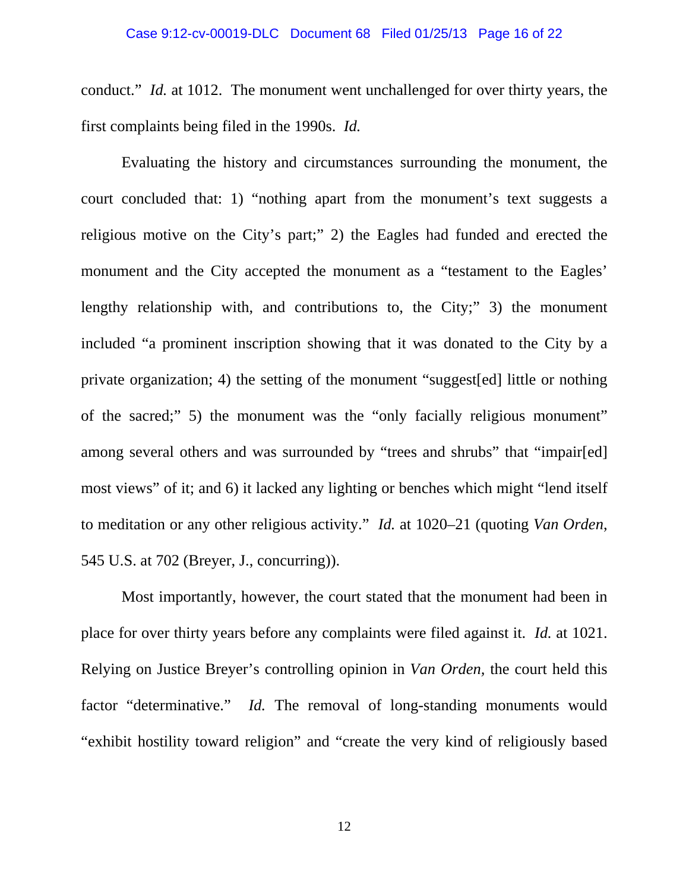conduct." *Id.* at 1012. The monument went unchallenged for over thirty years, the first complaints being filed in the 1990s. *Id.* 

 Evaluating the history and circumstances surrounding the monument, the court concluded that: 1) "nothing apart from the monument's text suggests a religious motive on the City's part;" 2) the Eagles had funded and erected the monument and the City accepted the monument as a "testament to the Eagles' lengthy relationship with, and contributions to, the City;" 3) the monument included "a prominent inscription showing that it was donated to the City by a private organization; 4) the setting of the monument "suggest[ed] little or nothing of the sacred;" 5) the monument was the "only facially religious monument" among several others and was surrounded by "trees and shrubs" that "impair[ed] most views" of it; and 6) it lacked any lighting or benches which might "lend itself to meditation or any other religious activity." *Id.* at 1020–21 (quoting *Van Orden*, 545 U.S. at 702 (Breyer, J., concurring)).

 Most importantly, however, the court stated that the monument had been in place for over thirty years before any complaints were filed against it. *Id.* at 1021. Relying on Justice Breyer's controlling opinion in *Van Orden,* the court held this factor "determinative." *Id.* The removal of long-standing monuments would "exhibit hostility toward religion" and "create the very kind of religiously based

12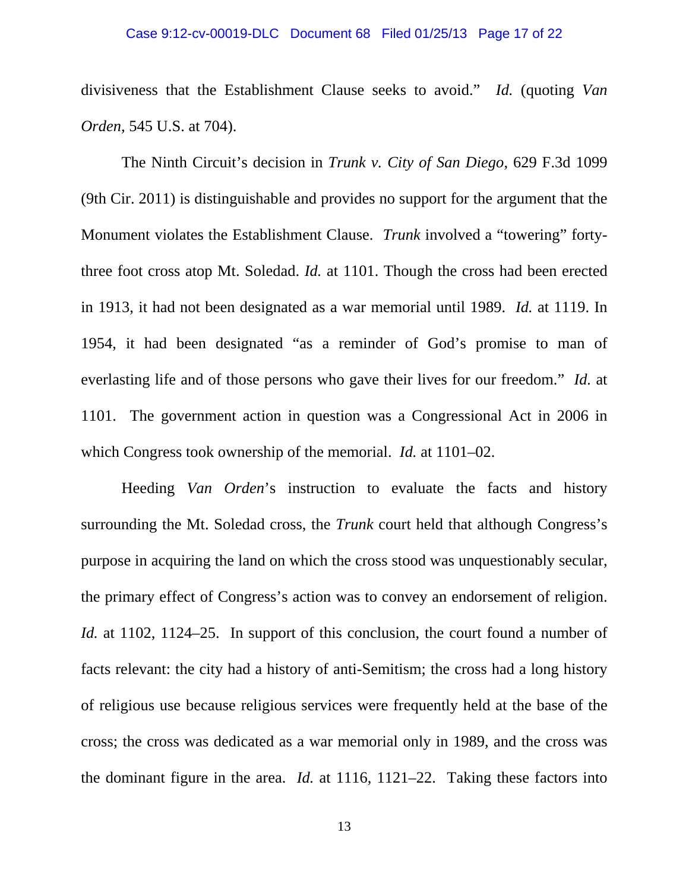#### Case 9:12-cv-00019-DLC Document 68 Filed 01/25/13 Page 17 of 22

divisiveness that the Establishment Clause seeks to avoid." *Id.* (quoting *Van Orden*, 545 U.S. at 704).

 The Ninth Circuit's decision in *Trunk v. City of San Diego*, 629 F.3d 1099 (9th Cir. 2011) is distinguishable and provides no support for the argument that the Monument violates the Establishment Clause. *Trunk* involved a "towering" fortythree foot cross atop Mt. Soledad. *Id.* at 1101. Though the cross had been erected in 1913, it had not been designated as a war memorial until 1989. *Id.* at 1119. In 1954, it had been designated "as a reminder of God's promise to man of everlasting life and of those persons who gave their lives for our freedom." *Id.* at 1101. The government action in question was a Congressional Act in 2006 in which Congress took ownership of the memorial. *Id.* at 1101–02.

 Heeding *Van Orden*'s instruction to evaluate the facts and history surrounding the Mt. Soledad cross, the *Trunk* court held that although Congress's purpose in acquiring the land on which the cross stood was unquestionably secular, the primary effect of Congress's action was to convey an endorsement of religion. *Id.* at 1102, 1124–25. In support of this conclusion, the court found a number of facts relevant: the city had a history of anti-Semitism; the cross had a long history of religious use because religious services were frequently held at the base of the cross; the cross was dedicated as a war memorial only in 1989, and the cross was the dominant figure in the area. *Id.* at 1116, 1121–22. Taking these factors into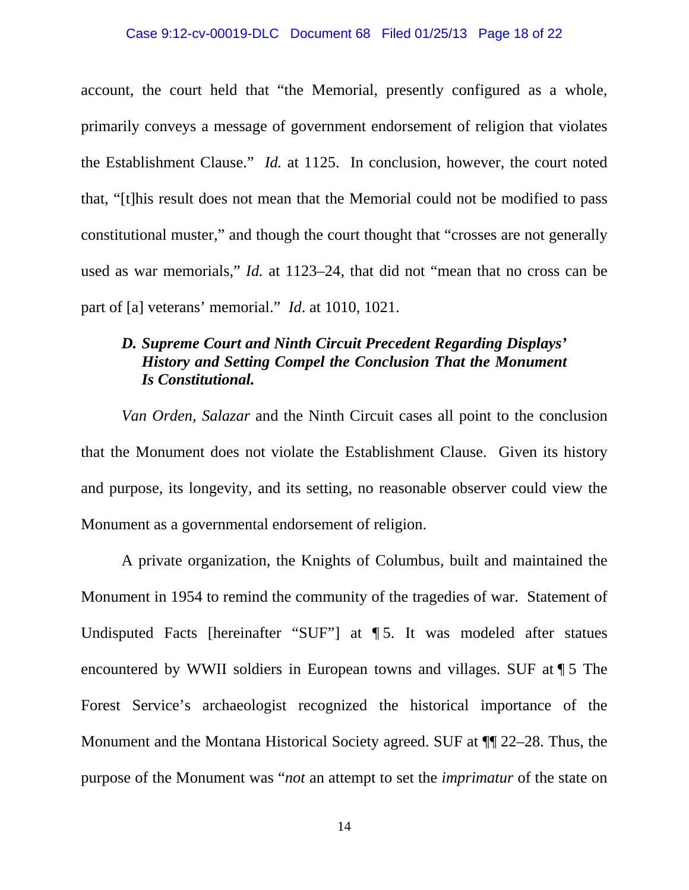#### Case 9:12-cv-00019-DLC Document 68 Filed 01/25/13 Page 18 of 22

account, the court held that "the Memorial, presently configured as a whole, primarily conveys a message of government endorsement of religion that violates the Establishment Clause." *Id.* at 1125. In conclusion, however, the court noted that, "[t]his result does not mean that the Memorial could not be modified to pass constitutional muster," and though the court thought that "crosses are not generally used as war memorials," *Id.* at 1123–24, that did not "mean that no cross can be part of [a] veterans' memorial." *Id*. at 1010, 1021.

### *D. Supreme Court and Ninth Circuit Precedent Regarding Displays' History and Setting Compel the Conclusion That the Monument Is Constitutional.*

*Van Orden, Salazar* and the Ninth Circuit cases all point to the conclusion that the Monument does not violate the Establishment Clause. Given its history and purpose, its longevity, and its setting, no reasonable observer could view the Monument as a governmental endorsement of religion.

A private organization, the Knights of Columbus, built and maintained the Monument in 1954 to remind the community of the tragedies of war. Statement of Undisputed Facts [hereinafter "SUF"] at ¶ 5. It was modeled after statues encountered by WWII soldiers in European towns and villages. SUF at ¶ 5 The Forest Service's archaeologist recognized the historical importance of the Monument and the Montana Historical Society agreed. SUF at ¶¶ 22–28. Thus, the purpose of the Monument was "*not* an attempt to set the *imprimatur* of the state on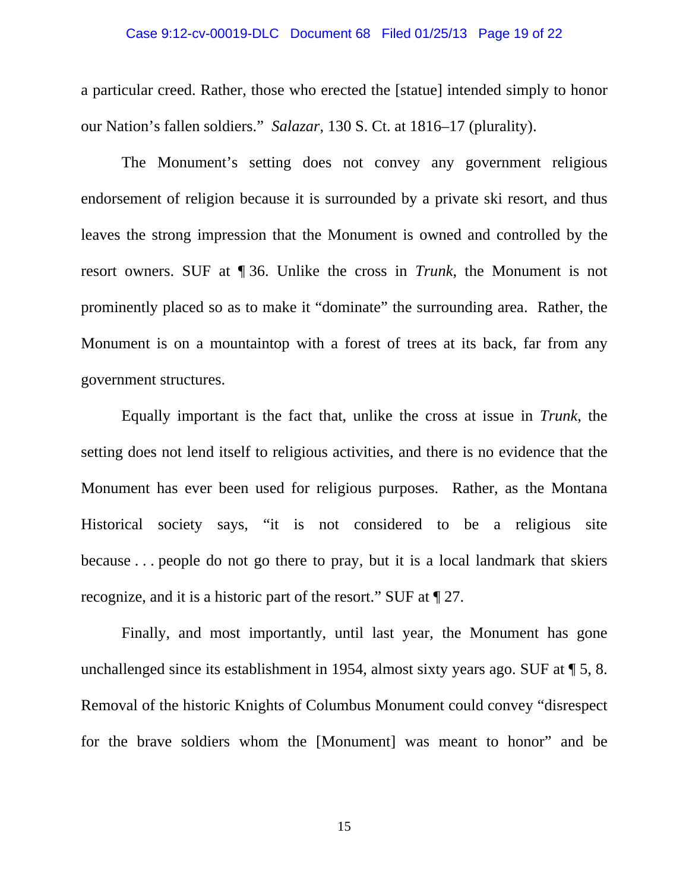#### Case 9:12-cv-00019-DLC Document 68 Filed 01/25/13 Page 19 of 22

a particular creed. Rather, those who erected the [statue] intended simply to honor our Nation's fallen soldiers." *Salazar*, 130 S. Ct. at 1816–17 (plurality).

 The Monument's setting does not convey any government religious endorsement of religion because it is surrounded by a private ski resort, and thus leaves the strong impression that the Monument is owned and controlled by the resort owners. SUF at ¶ 36. Unlike the cross in *Trunk*, the Monument is not prominently placed so as to make it "dominate" the surrounding area. Rather, the Monument is on a mountaintop with a forest of trees at its back, far from any government structures.

Equally important is the fact that, unlike the cross at issue in *Trunk*, the setting does not lend itself to religious activities, and there is no evidence that the Monument has ever been used for religious purposes. Rather, as the Montana Historical society says, "it is not considered to be a religious site because . . . people do not go there to pray, but it is a local landmark that skiers recognize, and it is a historic part of the resort." SUF at ¶ 27.

Finally, and most importantly, until last year, the Monument has gone unchallenged since its establishment in 1954, almost sixty years ago. SUF at ¶ 5, 8. Removal of the historic Knights of Columbus Monument could convey "disrespect for the brave soldiers whom the [Monument] was meant to honor" and be

15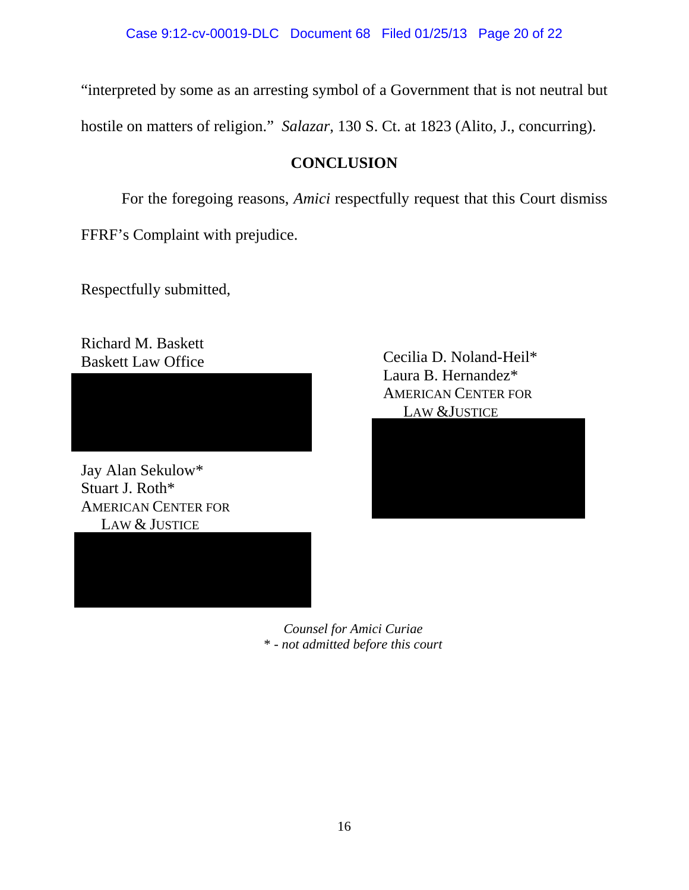"interpreted by some as an arresting symbol of a Government that is not neutral but

hostile on matters of religion." *Salazar*, 130 S. Ct. at 1823 (Alito, J., concurring).

# **CONCLUSION**

For the foregoing reasons, *Amici* respectfully request that this Court dismiss FFRF's Complaint with prejudice.

Respectfully submitted,

Richard M. Baskett Baskett Law Office

Jay Alan Sekulow\* Stuart J. Roth\* AMERICAN CENTER FOR LAW & JUSTICE



210 North Higgins Ave, Suite 234

Cecilia D. Noland-Heil\* Laura B. Hernandez\* AMERICAN CENTER FOR LAW &JUSTICE



*Counsel for Amici Curiae*  \* - *not admitted before this court*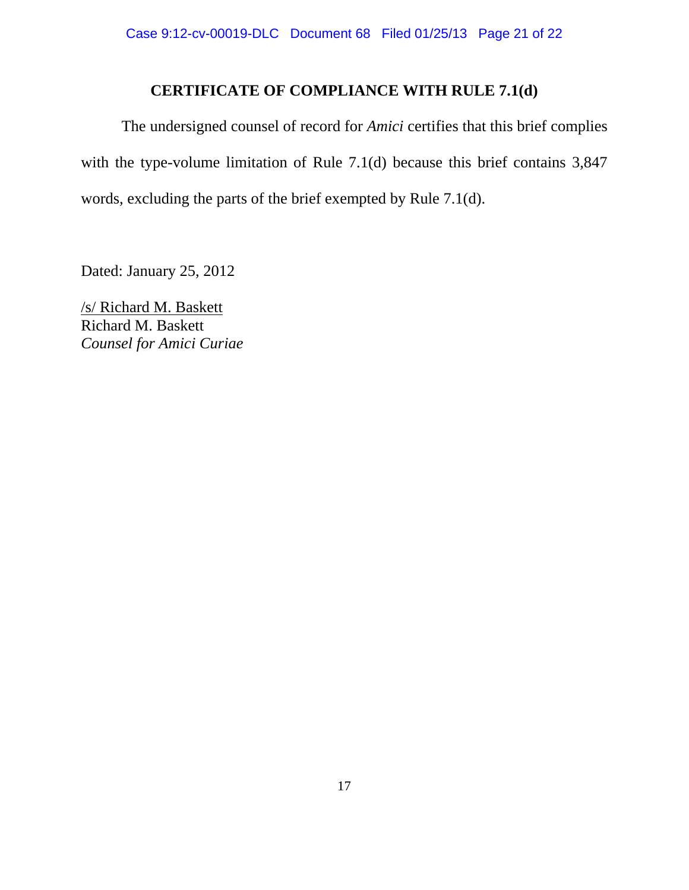### **CERTIFICATE OF COMPLIANCE WITH RULE 7.1(d)**

 The undersigned counsel of record for *Amici* certifies that this brief complies with the type-volume limitation of Rule 7.1(d) because this brief contains 3,847 words, excluding the parts of the brief exempted by Rule 7.1(d).

Dated: January 25, 2012

/s/ Richard M. Baskett Richard M. Baskett *Counsel for Amici Curiae*